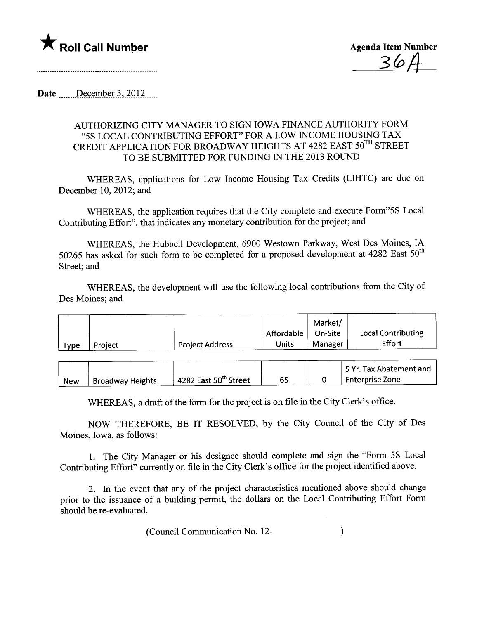

Date  $December 3, 2012...$ 

## AUTHORIZING CITY MANAGER TO SIGN IOWA FINANCE AUTHORITY FORM "5S LOCAL CONTRIBUTING EFFORT" FOR A LOW INCOME HOUSING TAX CREDIT APPLICATION FOR BROADWAY HEIGHTS AT 4282 EAST 50TH STREET TO BE SUBMITTED FOR FUNDING IN THE 2013 ROUND

WHEREAS, applications for Low Income Housing Tax Credits (LIHTC) are due on December 10, 2012; and

WHEREAS, the application requires that the City complete and execute Form"5S Local Contributing Effort", that indicates any monetary contribution for the project; and

WHEREAS, the Hubbell Development, 6900 Westown Parkway, West Des Moines, IA 50265 has asked for such form to be completed for a proposed development at  $4282$  East  $50<sup>th</sup>$ Street; and

WHEREAS, the development will use the following local contributions from the City of Des Moines; and

|      |         |                        |            | Market/ |                           |
|------|---------|------------------------|------------|---------|---------------------------|
|      |         |                        | Affordable | On-Site | <b>Local Contributing</b> |
| Type | Project | <b>Project Address</b> | Units      | Manager | Effort                    |

|            |                         |                                   |  | 5 Yr. Tax Abatement and |
|------------|-------------------------|-----------------------------------|--|-------------------------|
| <b>New</b> | <b>Broadway Heights</b> | 4282 East 50 <sup>th</sup> Street |  | ' Enterprise Zone       |

WHEREAS, a draft of the form for the project is on file in the City Clerk's office.

NOW THEREFORE, BE IT RESOLVED, by the City Council of the City of Des Moines, Iowa, as follows:

1. The City Manager or his designee should complete and sign the "Form 5S Local Contributing Effort" currently on file in the City Clerk's office for the project identified above.

2. In the event that any of the project characteristics mentioned above should change prior to the issuance of a building permit, the dollars on the Local Contributing Effort Form should be re-evaluated.

(Council Communication No. 12- )